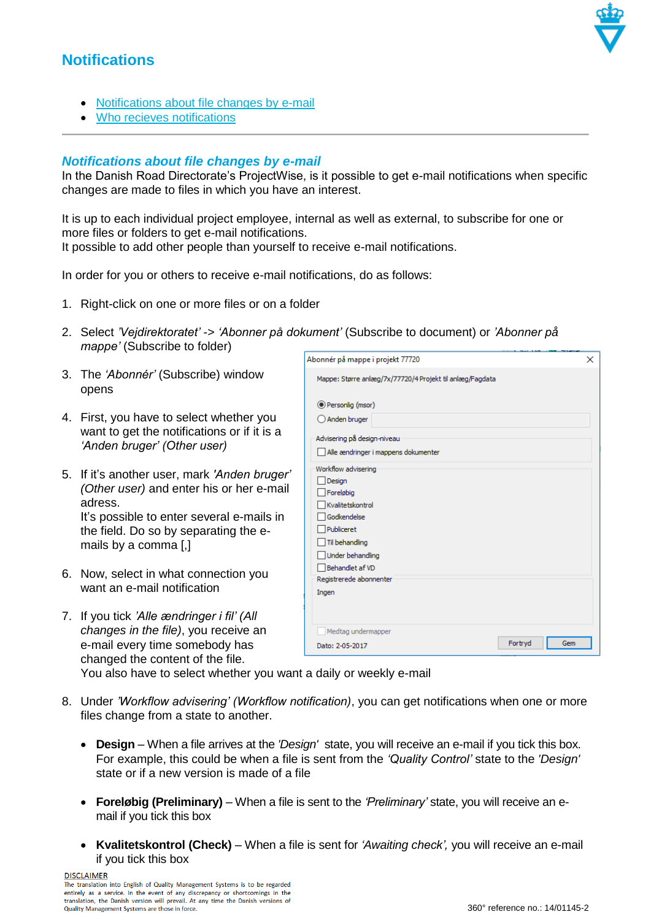## **Notifications**

- [Notifications about file changes by e-mail](#page-0-0)
- [Who recieves notifications](#page-2-0)

## <span id="page-0-0"></span>*Notifications about file changes by e-mail*

In the Danish Road Directorate's ProjectWise, is it possible to get e-mail notifications when specific changes are made to files in which you have an interest.

It is up to each individual project employee, internal as well as external, to subscribe for one or more files or folders to get e-mail notifications. It possible to add other people than yourself to receive e-mail notifications.

In order for you or others to receive e-mail notifications, do as follows:

- 1. Right-click on one or more files or on a folder
- 2. Select *'Vejdirektoratet'* -> *'Abonner på dokument'* (Subscribe to document) or *'Abonner på mappe'* (Subscribe to folder)
- 3. The *'Abonnér'* (Subscribe) window opens
- 4. First, you have to select whether you want to get the notifications or if it is a *'Anden bruger' (Other user)*
- 5. If it's another user, mark *'Anden bruger' (Other user)* and enter his or her e-mail adress. It's possible to enter several e-mails in the field. Do so by separating the emails by a comma [,]
- 6. Now, select in what connection you want an e-mail notification
- 7. If you tick *'Alle ændringer i fil' (All changes in the file)*, you receive an e-mail every time somebody has changed the content of the file.

| Abonnér på mappe i projekt 77720                         | ×              |
|----------------------------------------------------------|----------------|
| Mappe: Større anlæg/7x/77720/4 Projekt til anlæg/Fagdata |                |
| Personlig (msor)                                         |                |
| Anden bruger                                             |                |
| Advisering på design-niveau                              |                |
| Alle ændringer i mappens dokumenter                      |                |
| Workflow advisering                                      |                |
| Design                                                   |                |
| Foreløbig                                                |                |
| Kvalitetskontrol                                         |                |
| Godkendelse                                              |                |
| Publiceret                                               |                |
| Til behandling                                           |                |
| Under behandling                                         |                |
| Behandlet af VD                                          |                |
| Registrerede abonnenter                                  |                |
| Ingen                                                    |                |
|                                                          |                |
| Medtag undermapper                                       |                |
| Dato: 2-05-2017                                          | Fortryd<br>Gem |
|                                                          |                |

You also have to select whether you want a daily or weekly e-mail

- 8. Under *'Workflow advisering' (Workflow notification)*, you can get notifications when one or more files change from a state to another.
	- **Design** When a file arrives at the *'Design'* state, you will receive an e-mail if you tick this box. For example, this could be when a file is sent from the *'Quality Control'* state to the *'Design'*  state or if a new version is made of a file
	- **Foreløbig (Preliminary)**  When a file is sent to the *'Preliminary'* state, you will receive an email if you tick this box
	- **Kvalitetskontrol (Check)**  When a file is sent for *'Awaiting check',* you will receive an e-mail if you tick this box

**DISCLAIMER** 

The translation into English of Quality Management Systems is to be regarded entirely as a service. In the event of any discrepancy or shortcomings in the translation, the Danish version will prevail. At any time the Danish versions of Quality Management Systems are those in force.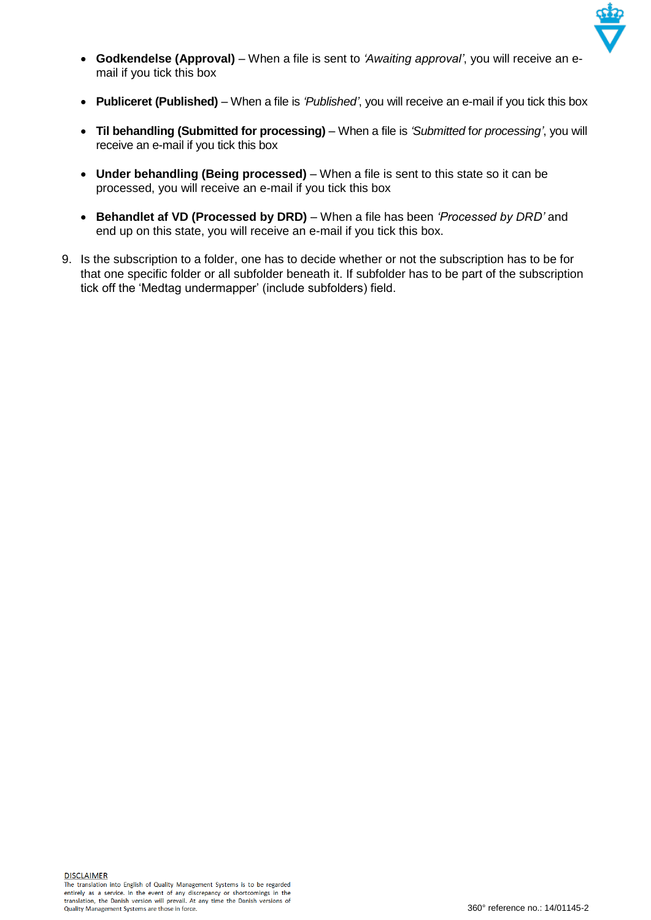

- **Godkendelse (Approval)**  When a file is sent to *'Awaiting approval'*, you will receive an email if you tick this box
- **Publiceret (Published)**  When a file is *'Published'*, you will receive an e-mail if you tick this box
- **Til behandling (Submitted for processing)**  When a file is *'Submitted* f*or processing'*, you will receive an e-mail if you tick this box
- **Under behandling (Being processed)**  When a file is sent to this state so it can be processed, you will receive an e-mail if you tick this box
- **Behandlet af VD (Processed by DRD)**  When a file has been *'Processed by DRD'* and end up on this state, you will receive an e-mail if you tick this box.
- 9. Is the subscription to a folder, one has to decide whether or not the subscription has to be for that one specific folder or all subfolder beneath it. If subfolder has to be part of the subscription tick off the 'Medtag undermapper' (include subfolders) field.